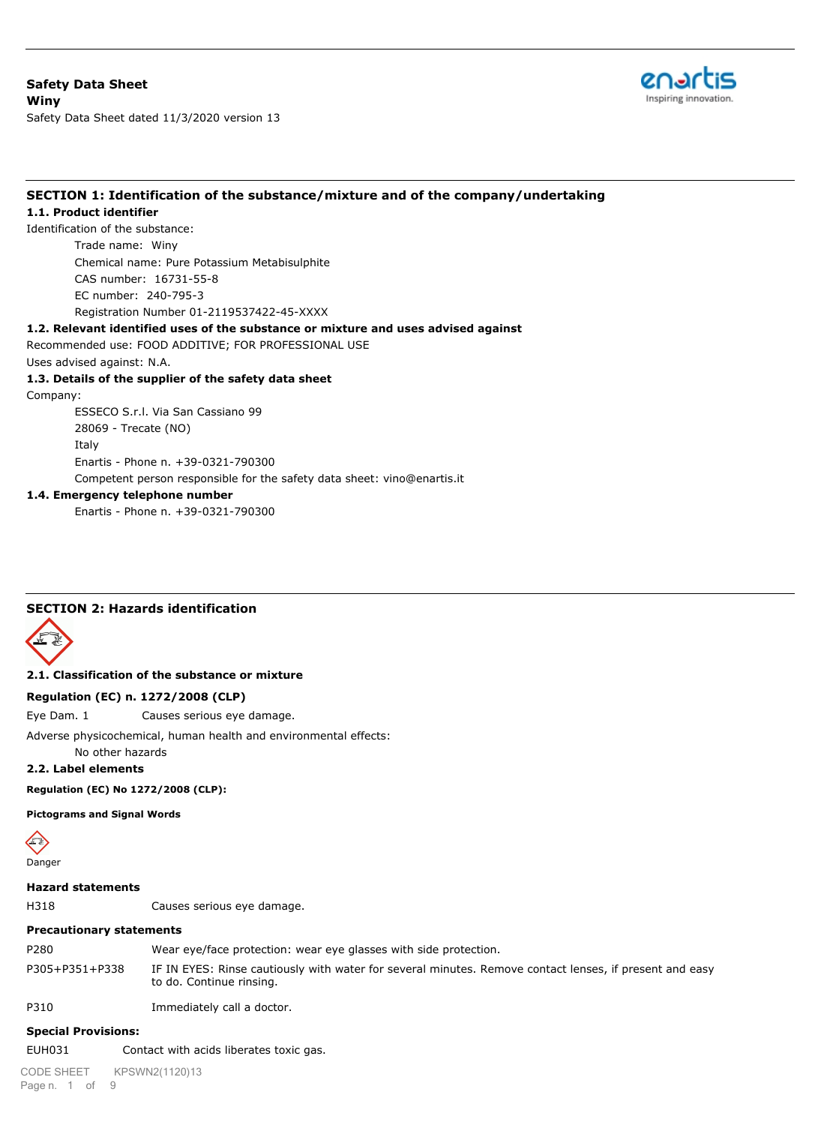

## **SECTION 1: Identification of the substance/mixture and of the company/undertaking**

#### **1.1. Product identifier**

Identification of the substance: Trade name: Winy Chemical name: Pure Potassium Metabisulphite CAS number: 16731-55-8 EC number: 240-795-3 Registration Number 01-2119537422-45-XXXX

#### **1.2. Relevant identified uses of the substance or mixture and uses advised against**

Recommended use: FOOD ADDITIVE; FOR PROFESSIONAL USE

Uses advised against: N.A.

## **1.3. Details of the supplier of the safety data sheet**

Company:

ESSECO S.r.l. Via San Cassiano 99 28069 - Trecate (NO) Italy Enartis - Phone n. +39-0321-790300 Competent person responsible for the safety data sheet: vino@enartis.it

#### **1.4. Emergency telephone number**

Enartis - Phone n. +39-0321-790300

## **SECTION 2: Hazards identification**



#### **2.1. Classification of the substance or mixture**

#### **Regulation (EC) n. 1272/2008 (CLP)**

Eye Dam. 1 Causes serious eye damage.

Adverse physicochemical, human health and environmental effects:

No other hazards

**2.2. Label elements**

**Regulation (EC) No 1272/2008 (CLP):**

**Pictograms and Signal Words**



# **Hazard statements**

H318 Causes serious eye damage.

#### **Precautionary statements**

P280 Wear eye/face protection: wear eye glasses with side protection. P305+P351+P338 IF IN EYES: Rinse cautiously with water for several minutes. Remove contact lenses, if present and easy to do. Continue rinsing.

P310 Immediately call a doctor.

# **Special Provisions:**

EUH031 Contact with acids liberates toxic gas.

Page n. 1 of 9 CODE SHEET KPSWN2(1120)13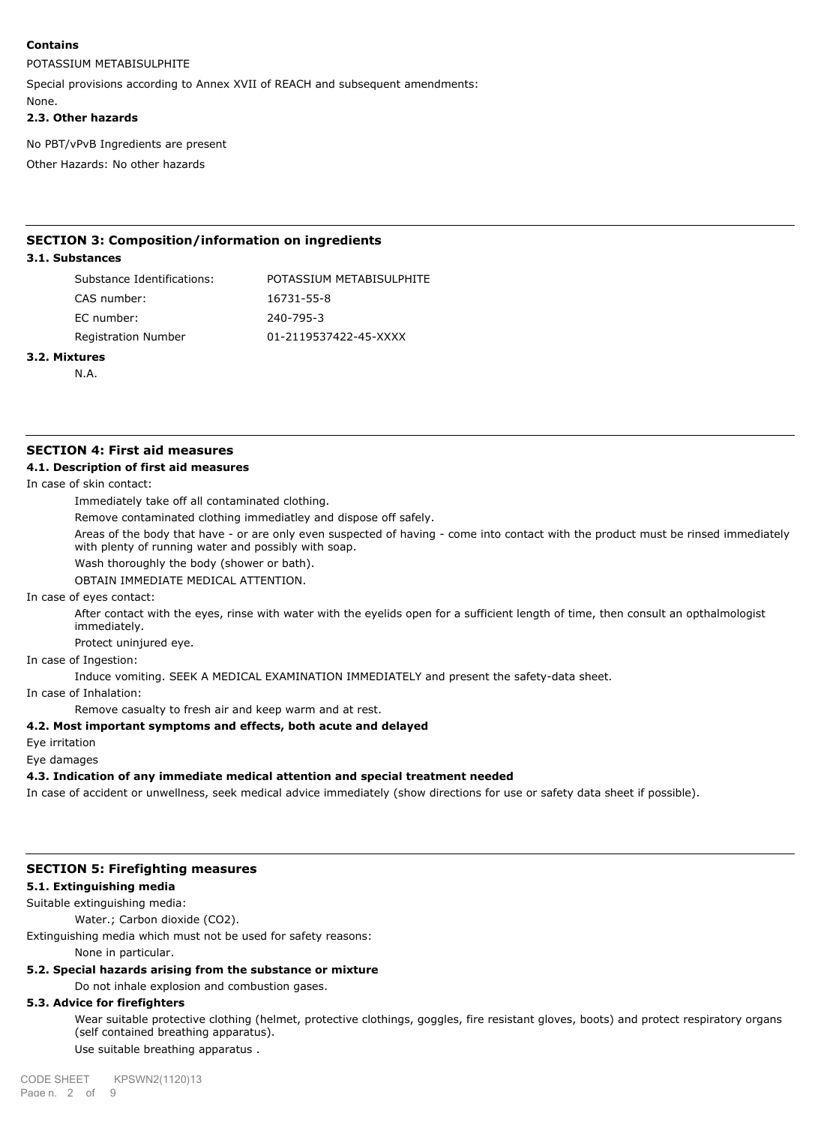## **Contains**

## POTASSIUM METABISULPHITE

Special provisions according to Annex XVII of REACH and subsequent amendments:

None.

## **2.3. Other hazards**

No PBT/vPvB Ingredients are present

Other Hazards: No other hazards

## **SECTION 3: Composition/information on ingredients**

## **3.1. Substances**

| Substance Identifications: | POTASSIUM METABISULPHITE |
|----------------------------|--------------------------|
| CAS number:                | 16731-55-8               |
| EC number:                 | 240-795-3                |
| Registration Number        | 01-2119537422-45-XXXX    |
|                            |                          |

## **3.2. Mixtures**

N.A.

# **SECTION 4: First aid measures**

## **4.1. Description of first aid measures**

In case of skin contact:

Immediately take off all contaminated clothing.

Remove contaminated clothing immediatley and dispose off safely.

Areas of the body that have - or are only even suspected of having - come into contact with the product must be rinsed immediately with plenty of running water and possibly with soap.

Wash thoroughly the body (shower or bath).

OBTAIN IMMEDIATE MEDICAL ATTENTION.

In case of eyes contact:

After contact with the eyes, rinse with water with the eyelids open for a sufficient length of time, then consult an opthalmologist immediately.

Protect uninjured eye.

#### In case of Ingestion:

Induce vomiting. SEEK A MEDICAL EXAMINATION IMMEDIATELY and present the safety-data sheet.

In case of Inhalation:

Remove casualty to fresh air and keep warm and at rest.

#### **4.2. Most important symptoms and effects, both acute and delayed**

Eye irritation

Eye damages

# **4.3. Indication of any immediate medical attention and special treatment needed**

In case of accident or unwellness, seek medical advice immediately (show directions for use or safety data sheet if possible).

# **SECTION 5: Firefighting measures**

# **5.1. Extinguishing media**

Suitable extinguishing media:

Water.; Carbon dioxide (CO2).

Extinguishing media which must not be used for safety reasons:

None in particular.

# **5.2. Special hazards arising from the substance or mixture**

Do not inhale explosion and combustion gases.

# **5.3. Advice for firefighters**

Wear suitable protective clothing (helmet, protective clothings, goggles, fire resistant gloves, boots) and protect respiratory organs (self contained breathing apparatus). Use suitable breathing apparatus .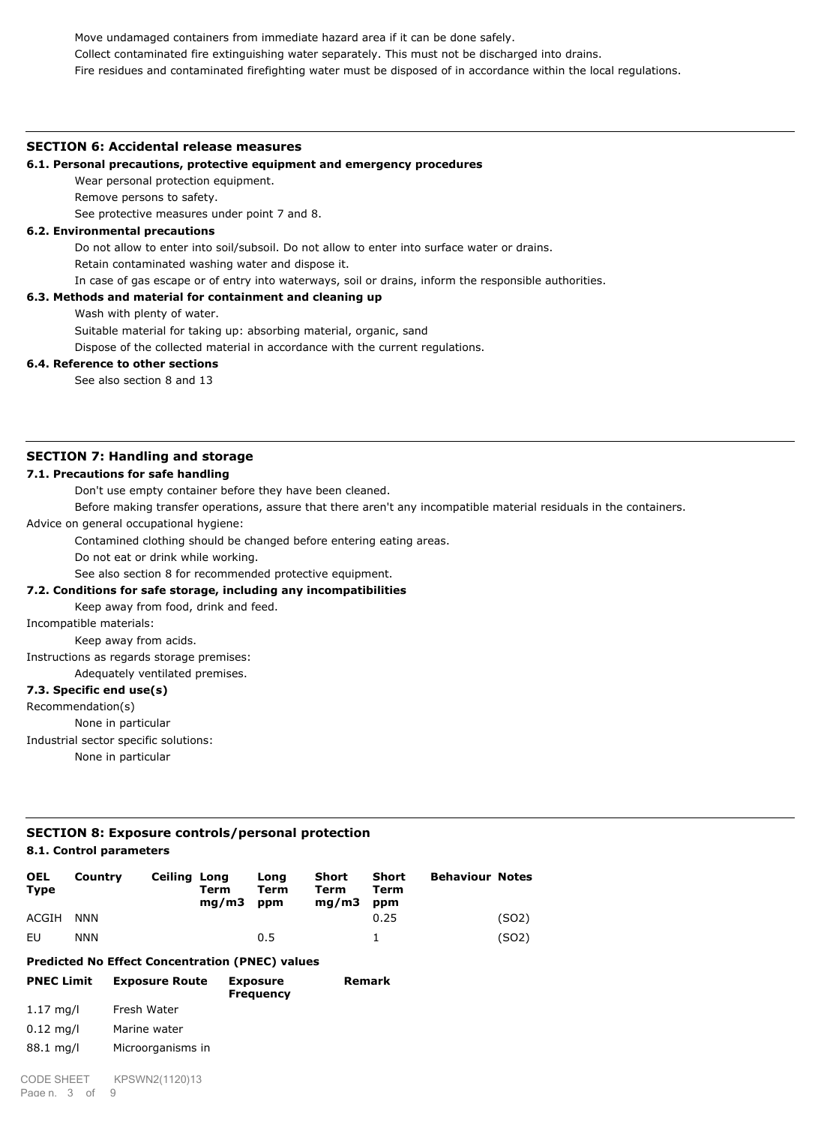Move undamaged containers from immediate hazard area if it can be done safely. Collect contaminated fire extinguishing water separately. This must not be discharged into drains. Fire residues and contaminated firefighting water must be disposed of in accordance within the local regulations.

#### **SECTION 6: Accidental release measures**

#### **6.1. Personal precautions, protective equipment and emergency procedures**

Wear personal protection equipment.

Remove persons to safety.

See protective measures under point 7 and 8.

# **6.2. Environmental precautions**

Do not allow to enter into soil/subsoil. Do not allow to enter into surface water or drains.

Retain contaminated washing water and dispose it.

In case of gas escape or of entry into waterways, soil or drains, inform the responsible authorities.

# **6.3. Methods and material for containment and cleaning up**

Wash with plenty of water.

Suitable material for taking up: absorbing material, organic, sand

Dispose of the collected material in accordance with the current regulations.

## **6.4. Reference to other sections**

See also section 8 and 13

## **SECTION 7: Handling and storage**

## **7.1. Precautions for safe handling**

Don't use empty container before they have been cleaned.

Before making transfer operations, assure that there aren't any incompatible material residuals in the containers.

Advice on general occupational hygiene:

Contamined clothing should be changed before entering eating areas.

Do not eat or drink while working.

See also section 8 for recommended protective equipment.

# **7.2. Conditions for safe storage, including any incompatibilities**

Keep away from food, drink and feed.

Incompatible materials:

Keep away from acids.

Instructions as regards storage premises:

Adequately ventilated premises.

# **7.3. Specific end use(s)**

Recommendation(s)

None in particular

Industrial sector specific solutions:

None in particular

# **SECTION 8: Exposure controls/personal protection**

## **8.1. Control parameters**

| <b>OEL</b><br>Type  | Country    | <b>Ceiling Long</b>                                    | Term<br>mq/m3 | Long<br>Term<br>ppm                 | <b>Short</b><br>Term<br>mq/m3 | <b>Short</b><br>Term<br>ppm | <b>Behaviour Notes</b> |       |
|---------------------|------------|--------------------------------------------------------|---------------|-------------------------------------|-------------------------------|-----------------------------|------------------------|-------|
| ACGIH               | <b>NNN</b> |                                                        |               |                                     |                               | 0.25                        |                        | (SO2) |
| EU                  | <b>NNN</b> |                                                        |               | 0.5                                 |                               | 1                           |                        | (SO2) |
|                     |            | <b>Predicted No Effect Concentration (PNEC) values</b> |               |                                     |                               |                             |                        |       |
| <b>PNEC Limit</b>   |            | <b>Exposure Route</b>                                  |               | <b>Exposure</b><br><b>Frequency</b> |                               | <b>Remark</b>               |                        |       |
| $1.17 \text{ mq/l}$ |            | Fresh Water                                            |               |                                     |                               |                             |                        |       |
| $0.12 \text{ mq/l}$ |            | Marine water                                           |               |                                     |                               |                             |                        |       |
| 88.1 mg/l           |            | Microorganisms in                                      |               |                                     |                               |                             |                        |       |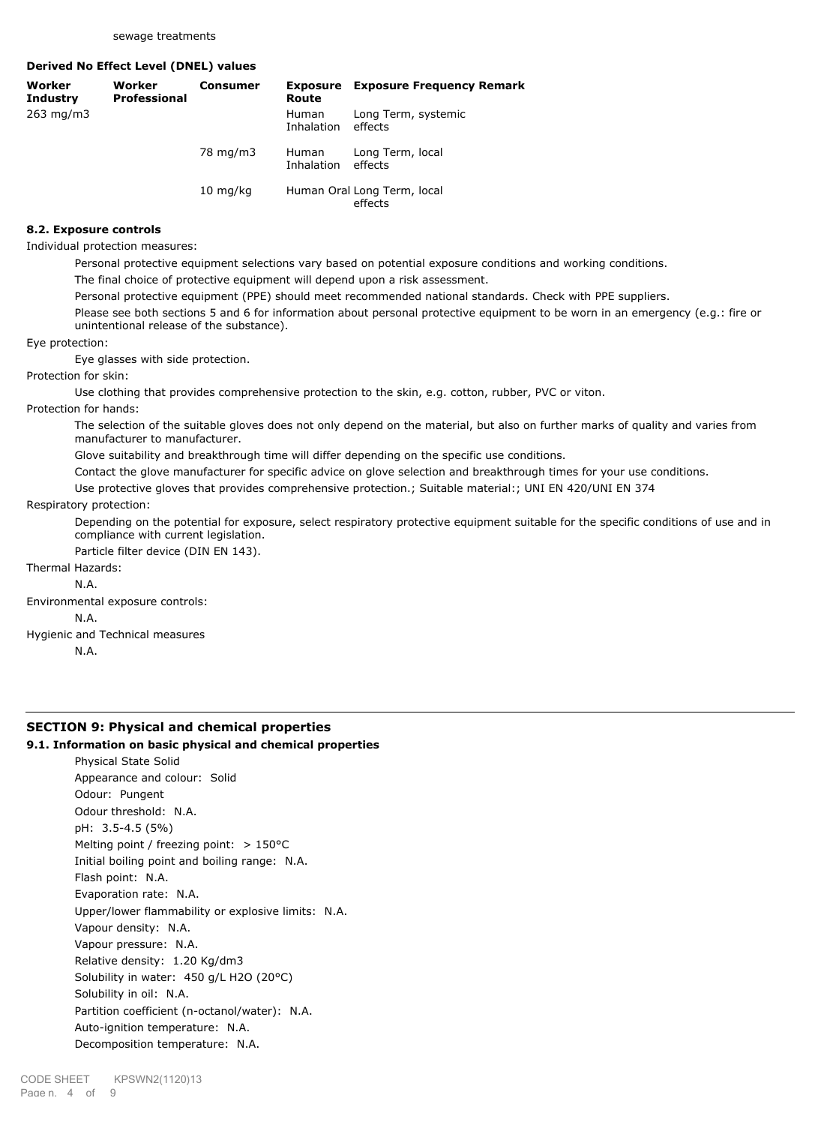**Derived No Effect Level (DNEL) values**

| Worker<br><b>Industry</b> | Worker<br><b>Professional</b> | Consumer             | Route                      | <b>Exposure</b> Exposure Frequency Remark |
|---------------------------|-------------------------------|----------------------|----------------------------|-------------------------------------------|
| 263 mg/m3                 |                               |                      | <b>Human</b><br>Inhalation | Long Term, systemic<br>effects            |
|                           |                               | 78 mg/m3             | Human<br>Inhalation        | Long Term, local<br>effects               |
|                           |                               | $10 \; \text{mq/kg}$ |                            | Human Oral Long Term, local<br>effects    |

#### **8.2. Exposure controls**

Individual protection measures:

Personal protective equipment selections vary based on potential exposure conditions and working conditions.

The final choice of protective equipment will depend upon a risk assessment.

Personal protective equipment (PPE) should meet recommended national standards. Check with PPE suppliers.

Please see both sections 5 and 6 for information about personal protective equipment to be worn in an emergency (e.g.: fire or unintentional release of the substance).

Eye protection:

Eye glasses with side protection.

Protection for skin:

Use clothing that provides comprehensive protection to the skin, e.g. cotton, rubber, PVC or viton.

Protection for hands:

The selection of the suitable gloves does not only depend on the material, but also on further marks of quality and varies from manufacturer to manufacturer.

Glove suitability and breakthrough time will differ depending on the specific use conditions.

Contact the glove manufacturer for specific advice on glove selection and breakthrough times for your use conditions.

Use protective gloves that provides comprehensive protection.; Suitable material:; UNI EN 420/UNI EN 374

#### Respiratory protection:

Depending on the potential for exposure, select respiratory protective equipment suitable for the specific conditions of use and in compliance with current legislation.

Particle filter device (DIN EN 143).

Thermal Hazards:

N.A.

Environmental exposure controls:

N.A.

Hygienic and Technical measures

N.A.

# **SECTION 9: Physical and chemical properties**

## **9.1. Information on basic physical and chemical properties**

Physical State Solid Appearance and colour: Solid Odour: Pungent Odour threshold: N.A. pH: 3.5-4.5 (5%) Melting point / freezing point: > 150°C Initial boiling point and boiling range: N.A. Flash point: N.A. Evaporation rate: N.A. Upper/lower flammability or explosive limits: N.A. Vapour density: N.A. Vapour pressure: N.A. Relative density: 1.20 Kg/dm3 Solubility in water: 450 g/L H2O (20°C) Solubility in oil: N.A. Partition coefficient (n-octanol/water): N.A. Auto-ignition temperature: N.A. Decomposition temperature: N.A.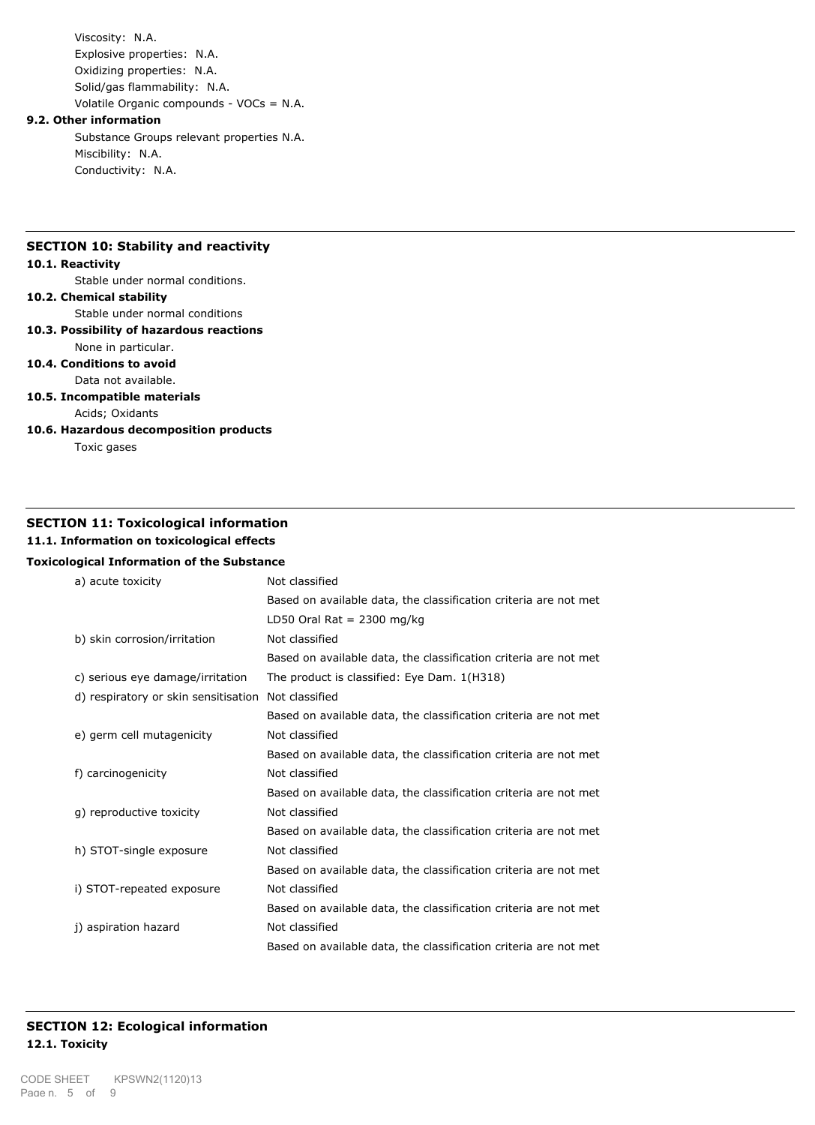Viscosity: N.A. Explosive properties: N.A. Oxidizing properties: N.A. Solid/gas flammability: N.A. Volatile Organic compounds - VOCs = N.A.

#### **9.2. Other information**

Substance Groups relevant properties N.A. Miscibility: N.A. Conductivity: N.A.

## **SECTION 10: Stability and reactivity**

#### **10.1. Reactivity**

Stable under normal conditions.

## **10.2. Chemical stability**

Stable under normal conditions

**10.3. Possibility of hazardous reactions**

## None in particular. **10.4. Conditions to avoid**

Data not available.

**10.5. Incompatible materials**

Acids; Oxidants

**10.6. Hazardous decomposition products**

Toxic gases

## **SECTION 11: Toxicological information**

# **11.1. Information on toxicological effects**

## **Toxicological Information of the Substance**

| a) acute toxicity                    | Not classified                                                   |
|--------------------------------------|------------------------------------------------------------------|
|                                      | Based on available data, the classification criteria are not met |
|                                      | LD50 Oral Rat = $2300$ mg/kg                                     |
| b) skin corrosion/irritation         | Not classified                                                   |
|                                      | Based on available data, the classification criteria are not met |
| c) serious eye damage/irritation     | The product is classified: Eye Dam. 1(H318)                      |
| d) respiratory or skin sensitisation | Not classified                                                   |
|                                      | Based on available data, the classification criteria are not met |
| e) germ cell mutagenicity            | Not classified                                                   |
|                                      | Based on available data, the classification criteria are not met |
| f) carcinogenicity                   | Not classified                                                   |
|                                      | Based on available data, the classification criteria are not met |
|                                      |                                                                  |
| g) reproductive toxicity             | Not classified                                                   |
|                                      | Based on available data, the classification criteria are not met |
| h) STOT-single exposure              | Not classified                                                   |
|                                      | Based on available data, the classification criteria are not met |
| i) STOT-repeated exposure            | Not classified                                                   |
|                                      | Based on available data, the classification criteria are not met |
| j) aspiration hazard                 | Not classified                                                   |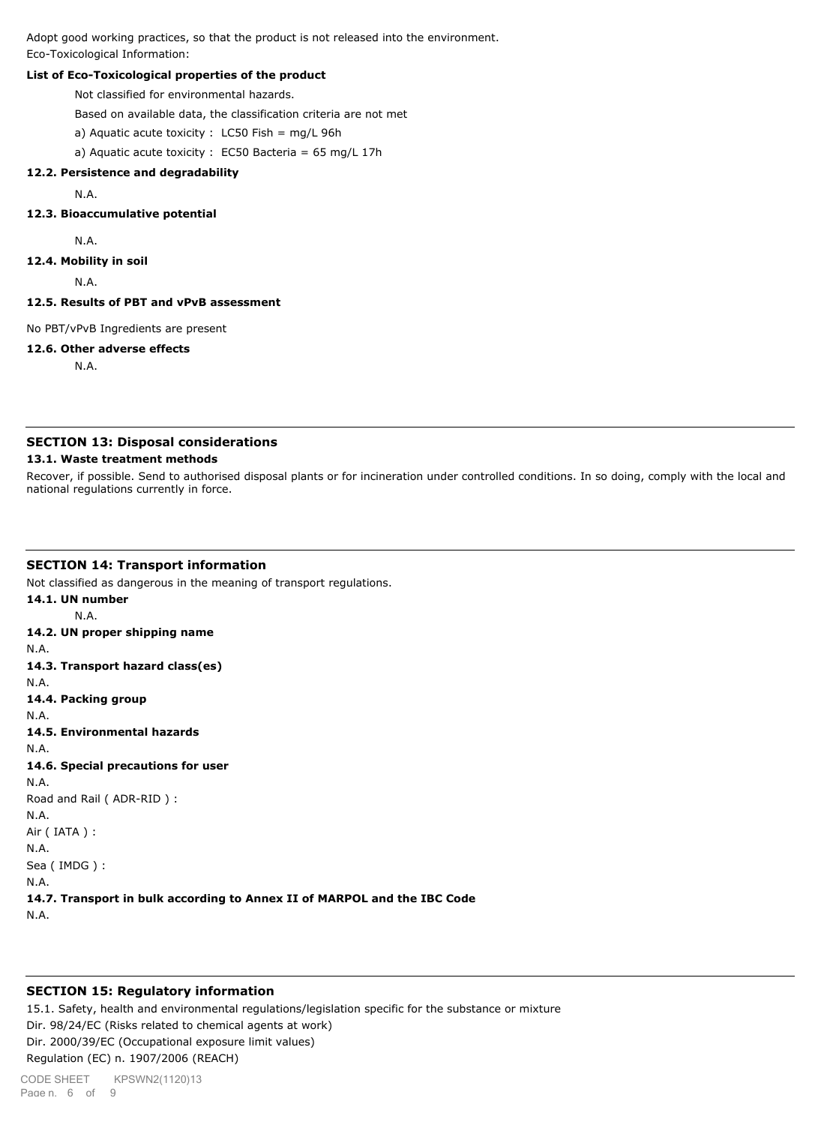Adopt good working practices, so that the product is not released into the environment. Eco-Toxicological Information:

## **List of Eco-Toxicological properties of the product**

Not classified for environmental hazards.

Based on available data, the classification criteria are not met

a) Aquatic acute toxicity : LC50 Fish = mg/L 96h

a) Aquatic acute toxicity : EC50 Bacteria =  $65 \text{ mg/L}$  17h

#### **12.2. Persistence and degradability**

N.A.

#### **12.3. Bioaccumulative potential**

N.A.

#### **12.4. Mobility in soil**

N.A.

#### **12.5. Results of PBT and vPvB assessment**

No PBT/vPvB Ingredients are present

#### **12.6. Other adverse effects**

N.A.

## **SECTION 13: Disposal considerations**

#### **13.1. Waste treatment methods**

Recover, if possible. Send to authorised disposal plants or for incineration under controlled conditions. In so doing, comply with the local and national regulations currently in force.

#### **SECTION 14: Transport information**

Not classified as dangerous in the meaning of transport regulations.

**14.1. UN number** N.A. **14.2. UN proper shipping name** N.A. **14.3. Transport hazard class(es)** N.A. **14.4. Packing group** N.A. **14.5. Environmental hazards** N.A. **14.6. Special precautions for user** N.A. Road and Rail ( ADR-RID ) : N.A. Air ( IATA ) : N.A. Sea ( IMDG ) : N.A. **14.7. Transport in bulk according to Annex II of MARPOL and the IBC Code** N.A.

## **SECTION 15: Regulatory information**

15.1. Safety, health and environmental regulations/legislation specific for the substance or mixture Dir. 98/24/EC (Risks related to chemical agents at work) Dir. 2000/39/EC (Occupational exposure limit values) Regulation (EC) n. 1907/2006 (REACH)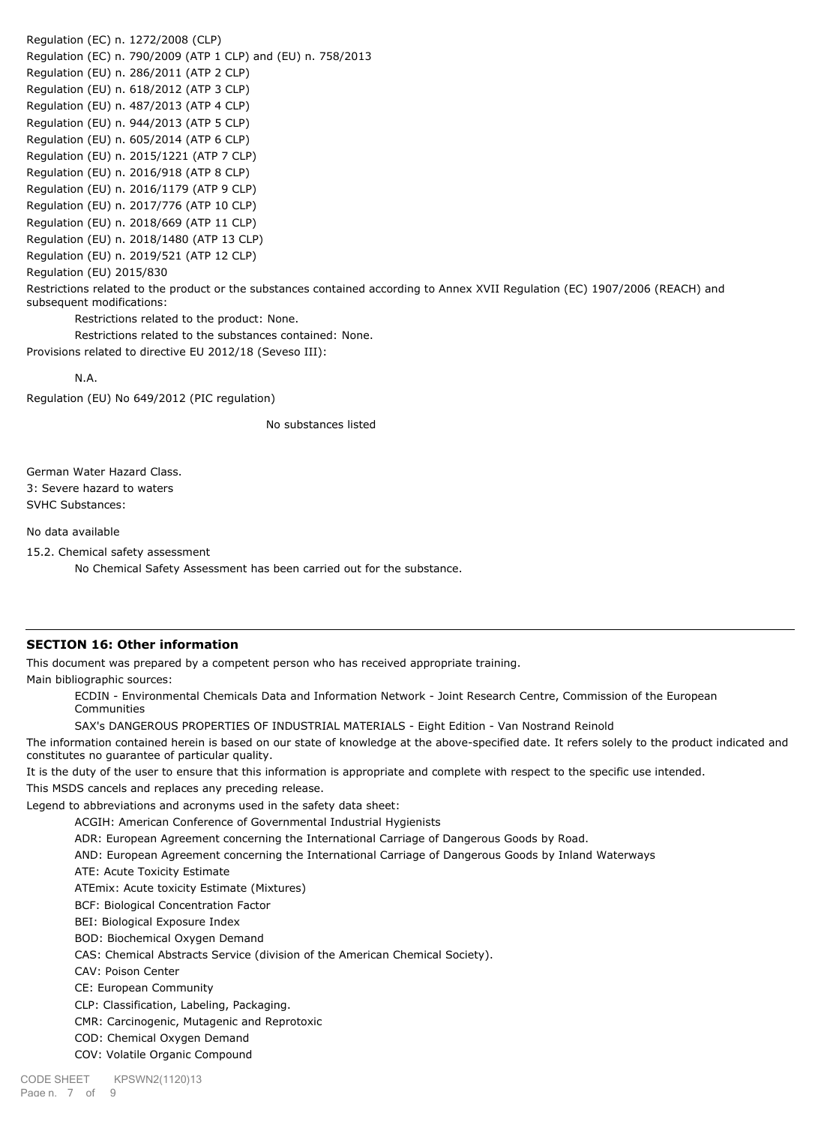Regulation (EC) n. 1272/2008 (CLP) Regulation (EC) n. 790/2009 (ATP 1 CLP) and (EU) n. 758/2013 Regulation (EU) n. 286/2011 (ATP 2 CLP) Regulation (EU) n. 618/2012 (ATP 3 CLP) Regulation (EU) n. 487/2013 (ATP 4 CLP) Regulation (EU) n. 944/2013 (ATP 5 CLP) Regulation (EU) n. 605/2014 (ATP 6 CLP) Regulation (EU) n. 2015/1221 (ATP 7 CLP) Regulation (EU) n. 2016/918 (ATP 8 CLP) Regulation (EU) n. 2016/1179 (ATP 9 CLP) Regulation (EU) n. 2017/776 (ATP 10 CLP) Regulation (EU) n. 2018/669 (ATP 11 CLP) Regulation (EU) n. 2018/1480 (ATP 13 CLP) Regulation (EU) n. 2019/521 (ATP 12 CLP) Regulation (EU) 2015/830 Restrictions related to the product or the substances contained according to Annex XVII Regulation (EC) 1907/2006 (REACH) and subsequent modifications: Restrictions related to the product: None. Restrictions related to the substances contained: None.

Provisions related to directive EU 2012/18 (Seveso III):

N.A.

Regulation (EU) No 649/2012 (PIC regulation)

No substances listed

German Water Hazard Class. 3: Severe hazard to waters SVHC Substances:

No data available

15.2. Chemical safety assessment

No Chemical Safety Assessment has been carried out for the substance.

### **SECTION 16: Other information**

This document was prepared by a competent person who has received appropriate training. Main bibliographic sources:

ECDIN - Environmental Chemicals Data and Information Network - Joint Research Centre, Commission of the European Communities

SAX's DANGEROUS PROPERTIES OF INDUSTRIAL MATERIALS - Eight Edition - Van Nostrand Reinold

The information contained herein is based on our state of knowledge at the above-specified date. It refers solely to the product indicated and constitutes no guarantee of particular quality.

It is the duty of the user to ensure that this information is appropriate and complete with respect to the specific use intended. This MSDS cancels and replaces any preceding release.

Legend to abbreviations and acronyms used in the safety data sheet:

ACGIH: American Conference of Governmental Industrial Hygienists

ADR: European Agreement concerning the International Carriage of Dangerous Goods by Road.

AND: European Agreement concerning the International Carriage of Dangerous Goods by Inland Waterways

ATE: Acute Toxicity Estimate

ATEmix: Acute toxicity Estimate (Mixtures)

BCF: Biological Concentration Factor

BEI: Biological Exposure Index

BOD: Biochemical Oxygen Demand

CAS: Chemical Abstracts Service (division of the American Chemical Society).

CAV: Poison Center

CE: European Community

CLP: Classification, Labeling, Packaging.

CMR: Carcinogenic, Mutagenic and Reprotoxic

COD: Chemical Oxygen Demand

COV: Volatile Organic Compound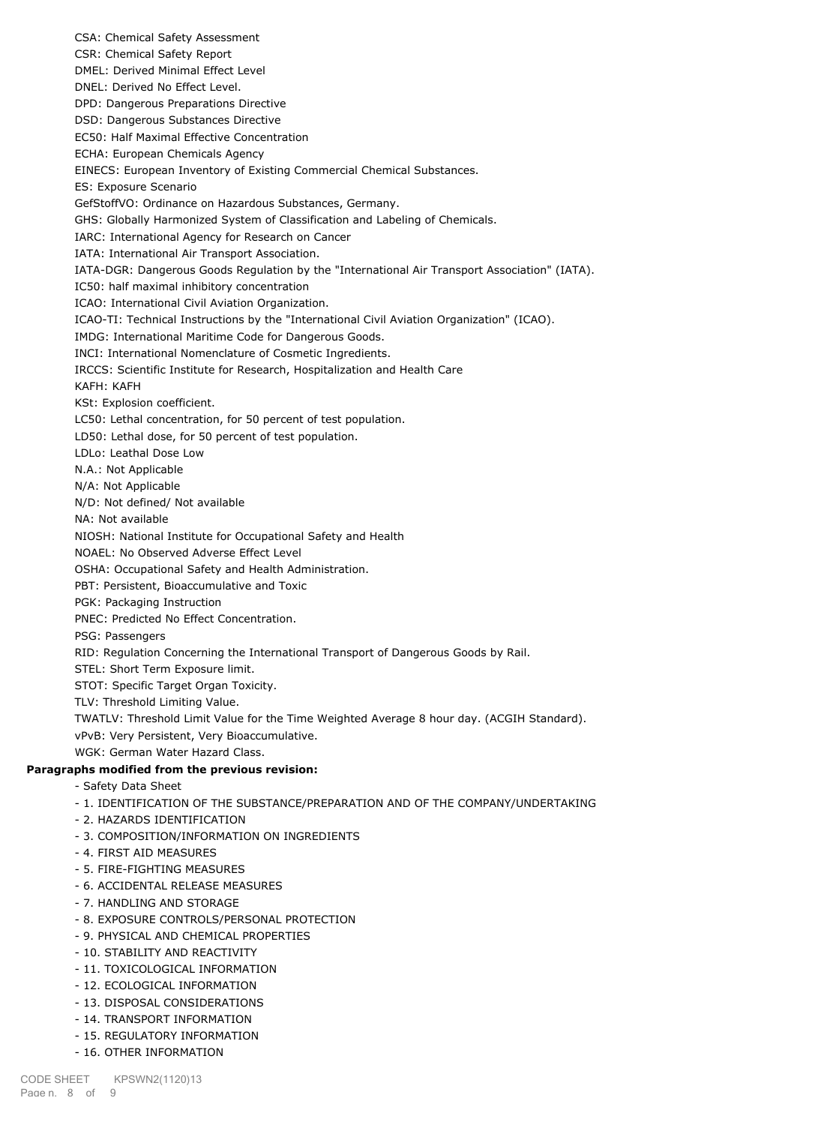CSA: Chemical Safety Assessment CSR: Chemical Safety Report DMEL: Derived Minimal Effect Level DNEL: Derived No Effect Level. DPD: Dangerous Preparations Directive DSD: Dangerous Substances Directive EC50: Half Maximal Effective Concentration ECHA: European Chemicals Agency EINECS: European Inventory of Existing Commercial Chemical Substances. ES: Exposure Scenario GefStoffVO: Ordinance on Hazardous Substances, Germany. GHS: Globally Harmonized System of Classification and Labeling of Chemicals. IARC: International Agency for Research on Cancer IATA: International Air Transport Association. IATA-DGR: Dangerous Goods Regulation by the "International Air Transport Association" (IATA). IC50: half maximal inhibitory concentration ICAO: International Civil Aviation Organization. ICAO-TI: Technical Instructions by the "International Civil Aviation Organization" (ICAO). IMDG: International Maritime Code for Dangerous Goods. INCI: International Nomenclature of Cosmetic Ingredients. IRCCS: Scientific Institute for Research, Hospitalization and Health Care KAFH: KAFH KSt: Explosion coefficient. LC50: Lethal concentration, for 50 percent of test population. LD50: Lethal dose, for 50 percent of test population. LDLo: Leathal Dose Low N.A.: Not Applicable N/A: Not Applicable N/D: Not defined/ Not available NA: Not available NIOSH: National Institute for Occupational Safety and Health NOAEL: No Observed Adverse Effect Level OSHA: Occupational Safety and Health Administration. PBT: Persistent, Bioaccumulative and Toxic PGK: Packaging Instruction PNEC: Predicted No Effect Concentration. PSG: Passengers RID: Regulation Concerning the International Transport of Dangerous Goods by Rail. STEL: Short Term Exposure limit. STOT: Specific Target Organ Toxicity. TLV: Threshold Limiting Value. TWATLV: Threshold Limit Value for the Time Weighted Average 8 hour day. (ACGIH Standard). vPvB: Very Persistent, Very Bioaccumulative. WGK: German Water Hazard Class. **Paragraphs modified from the previous revision:** - Safety Data Sheet - 1. IDENTIFICATION OF THE SUBSTANCE/PREPARATION AND OF THE COMPANY/UNDERTAKING - 2. HAZARDS IDENTIFICATION - 3. COMPOSITION/INFORMATION ON INGREDIENTS - 4. FIRST AID MEASURES - 5. FIRE-FIGHTING MEASURES - 6. ACCIDENTAL RELEASE MEASURES - 7. HANDLING AND STORAGE - 8. EXPOSURE CONTROLS/PERSONAL PROTECTION - 9. PHYSICAL AND CHEMICAL PROPERTIES

- 10. STABILITY AND REACTIVITY
- 11. TOXICOLOGICAL INFORMATION
- 12. ECOLOGICAL INFORMATION
- 13. DISPOSAL CONSIDERATIONS
- 14. TRANSPORT INFORMATION
- 15. REGULATORY INFORMATION
- 16. OTHER INFORMATION